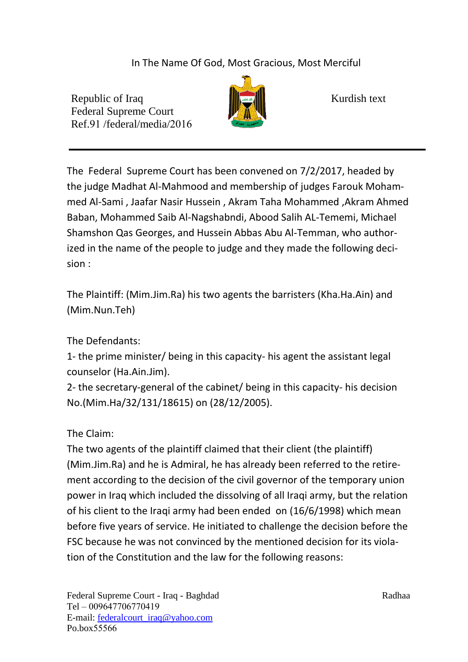In The Name Of God, Most Gracious, Most Merciful

Republic of Iraq Kurdish text Federal Supreme Court Ref.91 /federal/media/2016



The Federal Supreme Court has been convened on  $7/2/2017$ , headed by the judge Madhat Al-Mahmood and membership of judges Farouk Mohammed Al-Sami , Jaafar Nasir Hussein , Akram Taha Mohammed ,Akram Ahmed Baban, Mohammed Saib Al-Nagshabndi, Abood Salih AL-Tememi, Michael Shamshon Qas Georges, and Hussein Abbas Abu Al-Temman, who authorized in the name of the people to judge and they made the following decision :

The Plaintiff: (Mim.Jim.Ra) his two agents the barristers (Kha.Ha.Ain) and (Mim.Nun.Teh)

The Defendants:

1- the prime minister/ being in this capacity- his agent the assistant legal counselor (Ha.Ain.Jim).

2- the secretary-general of the cabinet/ being in this capacity- his decision No.(Mim.Ha/32/131/18615) on (28/12/2005).

The Claim:

The two agents of the plaintiff claimed that their client (the plaintiff) (Mim.Jim.Ra) and he is Admiral, he has already been referred to the retirement according to the decision of the civil governor of the temporary union power in Iraq which included the dissolving of all Iraqi army, but the relation of his client to the Iraqi army had been ended on  $(16/6/1998)$  which mean before five years of service. He initiated to challenge the decision before the FSC because he was not convinced by the mentioned decision for its violation of the Constitution and the law for the following reasons: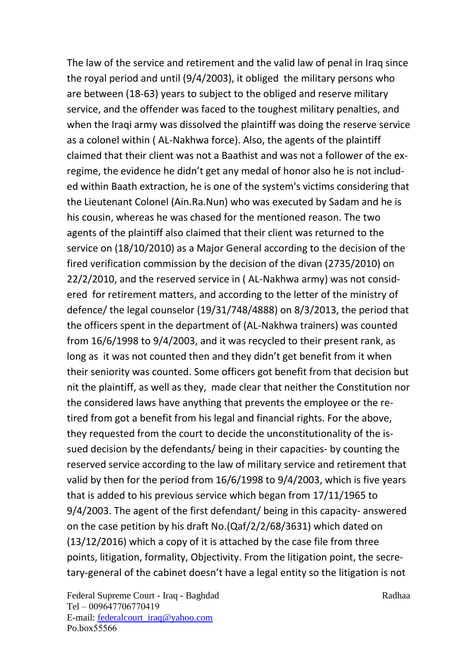The law of the service and retirement and the valid law of penal in Iraq since the royal period and until ( $9/4/2003$ ), it obliged the military persons who are between (18-63) years to subject to the obliged and reserve military service, and the offender was faced to the toughest military penalties, and when the Iraqi army was dissolved the plaintiff was doing the reserve service as a colonel within ( AL-Nakhwa force). Also, the agents of the plaintiff claimed that their client was not a Baathist and was not a follower of the exregime, the evidence he didn't get any medal of honor also he is not included within Baath extraction, he is one of the system's victims considering that the Lieutenant Colonel (Ain.Ra.Nun) who was executed by Sadam and he is his cousin, whereas he was chased for the mentioned reason. The two agents of the plaintiff also claimed that their client was returned to the service on (18/10/2010) as a Major General according to the decision of the fired verification commission by the decision of the divan (2735/2010) on  $22/2/2010$ , and the reserved service in (AL-Nakhwa army) was not considered for retirement matters, and according to the letter of the ministry of defence/ the legal counselor  $(19/31/748/4888)$  on 8/3/2013, the period that the officers spent in the department of (AL-Nakhwa trainers) was counted from  $16/6/1998$  to  $9/4/2003$ , and it was recycled to their present rank, as long as it was not counted then and they didn't get benefit from it when their seniority was counted. Some officers got benefit from that decision but nit the plaintiff, as well as they, made clear that neither the Constitution nor the considered laws have anything that prevents the employee or the retired from got a benefit from his legal and financial rights. For the above, they requested from the court to decide the unconstitutionality of the issued decision by the defendants/ being in their capacities- by counting the reserved service according to the law of military service and retirement that valid by then for the period from  $16/6/1998$  to  $9/4/2003$ , which is five years that is added to his previous service which began from  $17/11/1965$  to  $9/4/2003$ . The agent of the first defendant/ being in this capacity- answered on the case petition by his draft No.  $(Qaf/2/2/68/3631)$  which dated on  $(13/12/2016)$  which a copy of it is attached by the case file from three points, litigation, formality, Objectivity. From the litigation point, the secretary-general of the cabinet doesn't have a legal entity so the litigation is not

Federal Supreme Court - Iraq - Baghdad Radhaa Tel - 009647706770419 E-mail: federalcourt\_iraq@yahoo.com Po.box55566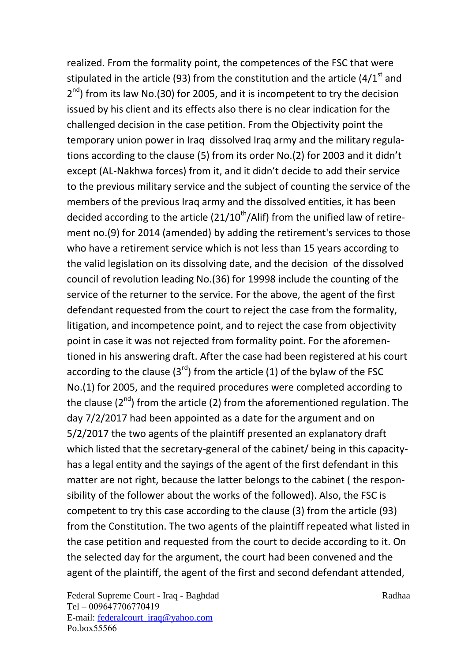realized. From the formality point, the competences of the FSC that were stipulated in the article (93) from the constitution and the article (4/1<sup>st</sup> and  $2<sup>nd</sup>$ ) from its law No.(30) for 2005, and it is incompetent to try the decision issued by his client and its effects also there is no clear indication for the challenged decision in the case petition. From the Objectivity point the temporary union power in Iraq dissolved Iraq army and the military regulations according to the clause (5) from its order No.(2) for 2003 and it didn't except (AL-Nakhwa forces) from it, and it didn't decide to add their service to the previous military service and the subject of counting the service of the members of the previous Iraq army and the dissolved entities, it has been decided according to the article  $(21/10<sup>th</sup>/Alif)$  from the unified law of retirement no.(9) for 2014 (amended) by adding the retirement's services to those who have a retirement service which is not less than 15 years according to the valid legislation on its dissolving date, and the decision of the dissolved council of revolution leading No. (36) for 19998 include the counting of the service of the returner to the service. For the above, the agent of the first defendant requested from the court to reject the case from the formality, litigation, and incompetence point, and to reject the case from objectivity point in case it was not rejected from formality point. For the aforementioned in his answering draft. After the case had been registered at his court according to the clause  $(3<sup>rd</sup>)$  from the article (1) of the bylaw of the FSC No.(1) for 2005, and the required procedures were completed according to the clause ( $2<sup>nd</sup>$ ) from the article (2) from the aforementioned regulation. The day 7/2/2017 had been appointed as a date for the argument and on  $5/2/2017$  the two agents of the plaintiff presented an explanatory draft which listed that the secretary-general of the cabinet/ being in this capacityhas a legal entity and the sayings of the agent of the first defendant in this matter are not right, because the latter belongs to the cabinet ( the responsibility of the follower about the works of the followed). Also, the FSC is competent to try this case according to the clause  $(3)$  from the article  $(93)$ from the Constitution. The two agents of the plaintiff repeated what listed in the case petition and requested from the court to decide according to it. On the selected day for the argument, the court had been convened and the agent of the plaintiff, the agent of the first and second defendant attended,

Federal Supreme Court - Iraq - Baghdad Radhaa Tel - 009647706770419 E-mail: federalcourt\_iraq@yahoo.com Po.box55566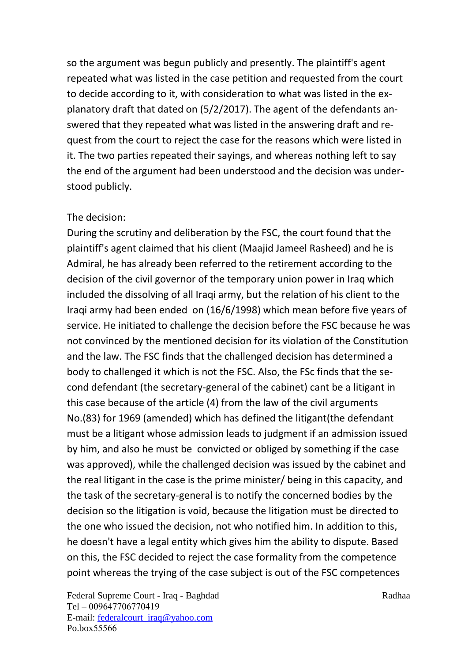so the argument was begun publicly and presently. The plaintiff's agent repeated what was listed in the case petition and requested from the court to decide according to it, with consideration to what was listed in the explanatory draft that dated on  $(5/2/2017)$ . The agent of the defendants answered that they repeated what was listed in the answering draft and request from the court to reject the case for the reasons which were listed in it. The two parties repeated their sayings, and whereas nothing left to say the end of the argument had been understood and the decision was understood publicly.

## The decision:

During the scrutiny and deliberation by the FSC, the court found that the plaintiff's agent claimed that his client (Maajid Jameel Rasheed) and he is Admiral, he has already been referred to the retirement according to the decision of the civil governor of the temporary union power in Iraq which included the dissolving of all Iraqi army, but the relation of his client to the Iraqi army had been ended on (16/6/1998) which mean before five years of service. He initiated to challenge the decision before the FSC because he was not convinced by the mentioned decision for its violation of the Constitution and the law. The FSC finds that the challenged decision has determined a body to challenged it which is not the FSC. Also, the FSc finds that the second defendant (the secretary-general of the cabinet) cant be a litigant in this case because of the article (4) from the law of the civil arguments No.(83) for 1969 (amended) which has defined the litigant(the defendant must be a litigant whose admission leads to judgment if an admission issued by him, and also he must be convicted or obliged by something if the case was approved), while the challenged decision was issued by the cabinet and the real litigant in the case is the prime minister/ being in this capacity, and the task of the secretary-general is to notify the concerned bodies by the decision so the litigation is void, because the litigation must be directed to the one who issued the decision, not who notified him. In addition to this, he doesn't have a legal entity which gives him the ability to dispute. Based on this, the FSC decided to reject the case formality from the competence point whereas the trying of the case subject is out of the FSC competences

Federal Supreme Court - Iraq - Baghdad Radhaa Tel - 009647706770419 E-mail: federalcourt\_iraq@yahoo.com Po.box55566